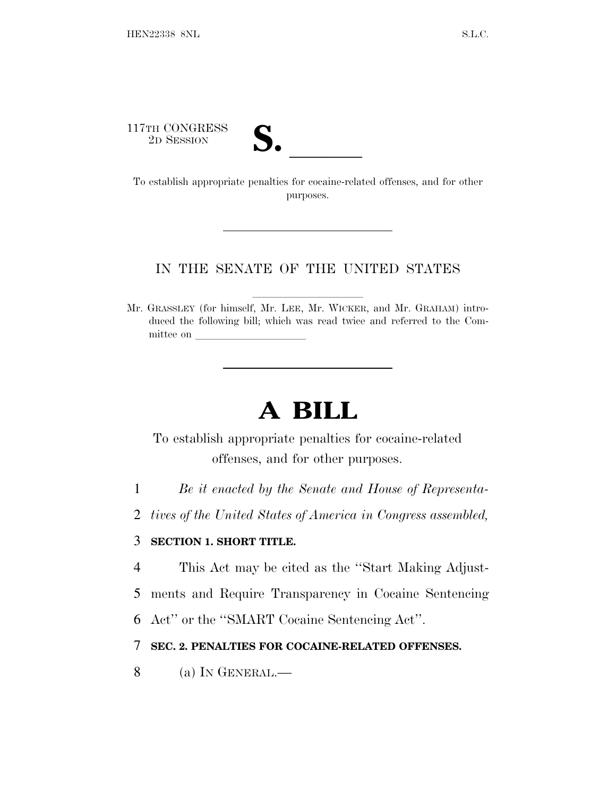117TH CONGRESS

17TH CONGRESS<br>
2D SESSION<br>
To establish appropriate penalties for cocaine-related offenses, and for other purposes.

### IN THE SENATE OF THE UNITED STATES

Mr. GRASSLEY (for himself, Mr. LEE, Mr. WICKER, and Mr. GRAHAM) introduced the following bill; which was read twice and referred to the Committee on

# **A BILL**

To establish appropriate penalties for cocaine-related offenses, and for other purposes.

1 *Be it enacted by the Senate and House of Representa-*

2 *tives of the United States of America in Congress assembled,*

### 3 **SECTION 1. SHORT TITLE.**

4 This Act may be cited as the ''Start Making Adjust-

5 ments and Require Transparency in Cocaine Sentencing

6 Act'' or the ''SMART Cocaine Sentencing Act''.

## 7 **SEC. 2. PENALTIES FOR COCAINE-RELATED OFFENSES.**

8 (a) I<sup>N</sup> GENERAL.—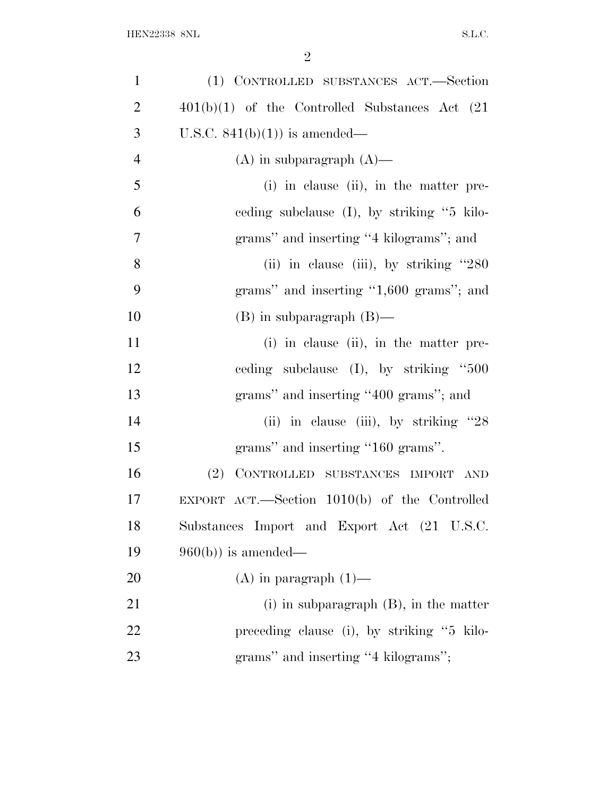| $\mathbf{1}$   | (1) CONTROLLED SUBSTANCES ACT.—Section              |
|----------------|-----------------------------------------------------|
| $\overline{2}$ | $401(b)(1)$ of the Controlled Substances Act $(21)$ |
| 3              | U.S.C. $841(b)(1)$ is amended—                      |
| $\overline{4}$ | $(A)$ in subparagraph $(A)$ —                       |
| 5              | (i) in clause (ii), in the matter pre-              |
| 6              | eeding subclause $(I)$ , by striking "5 kilo-       |
| $\overline{7}$ | grams" and inserting "4 kilograms"; and             |
| 8              | (ii) in clause (iii), by striking $"280$            |
| 9              | grams" and inserting "1,600 grams"; and             |
| 10             | $(B)$ in subparagraph $(B)$ —                       |
| 11             | (i) in clause (ii), in the matter pre-              |
| 12             | ceding subclause $(I)$ , by striking "500           |
| 13             | grams" and inserting "400 grams"; and               |
| 14             | (ii) in clause (iii), by striking $"28$             |
| 15             | grams" and inserting "160 grams".                   |
| 16             | CONTROLLED SUBSTANCES IMPORT<br>(2)<br>AND          |
| 17             | EXPORT ACT.—Section $1010(b)$ of the Controlled     |
| 18             | Substances Import and Export Act (21 U.S.C.         |
| 19             | $960(b)$ is amended—                                |
| 20             | $(A)$ in paragraph $(1)$ —                          |
| 21             | $(i)$ in subparagraph $(B)$ , in the matter         |
| 22             | preceding clause (i), by striking "5 kilo-          |
| 23             | grams" and inserting "4 kilograms";                 |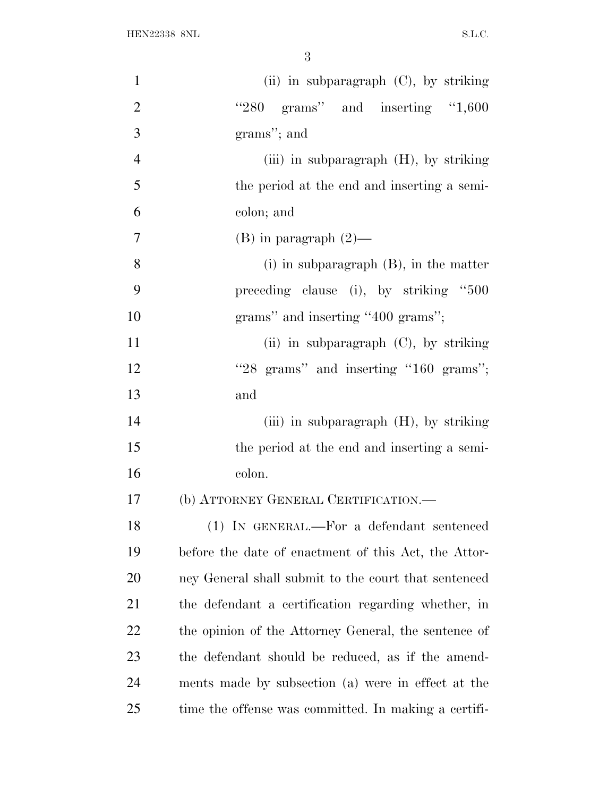| $\mathbf{1}$   | (ii) in subparagraph $(C)$ , by striking             |
|----------------|------------------------------------------------------|
| $\overline{2}$ | " $280$ grams" and inserting "1,600                  |
| 3              | grams"; and                                          |
| $\overline{4}$ | (iii) in subparagraph $(H)$ , by striking            |
| 5              | the period at the end and inserting a semi-          |
| 6              | colon; and                                           |
| $\overline{7}$ | $(B)$ in paragraph $(2)$ —                           |
| 8              | $(i)$ in subparagraph $(B)$ , in the matter          |
| 9              | preceding clause (i), by striking "500               |
| 10             | grams" and inserting "400 grams";                    |
| 11             | (ii) in subparagraph $(C)$ , by striking             |
| 12             | "28 grams" and inserting "160 grams";                |
| 13             | and                                                  |
| 14             | (iii) in subparagraph (H), by striking               |
| 15             | the period at the end and inserting a semi-          |
| 16             | colon.                                               |
| 17             | (b) ATTORNEY GENERAL CERTIFICATION.-                 |
| 18             | (1) IN GENERAL.—For a defendant sentenced            |
| 19             | before the date of enactment of this Act, the Attor- |
| 20             | ney General shall submit to the court that sentenced |
| 21             | the defendant a certification regarding whether, in  |
| 22             | the opinion of the Attorney General, the sentence of |
| 23             | the defendant should be reduced, as if the amend-    |
| 24             | ments made by subsection (a) were in effect at the   |
| 25             | time the offense was committed. In making a certifi- |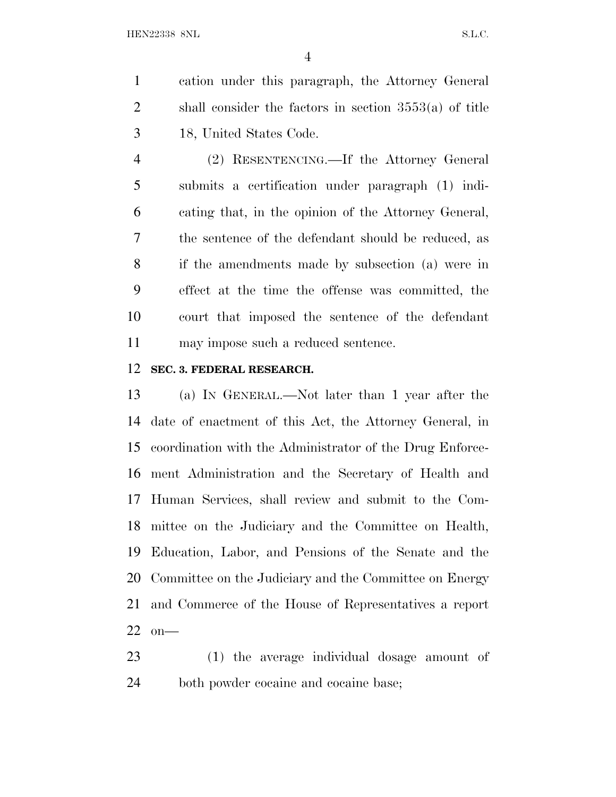cation under this paragraph, the Attorney General shall consider the factors in section 3553(a) of title 18, United States Code.

 (2) RESENTENCING.—If the Attorney General submits a certification under paragraph (1) indi- cating that, in the opinion of the Attorney General, the sentence of the defendant should be reduced, as if the amendments made by subsection (a) were in effect at the time the offense was committed, the court that imposed the sentence of the defendant may impose such a reduced sentence.

#### **SEC. 3. FEDERAL RESEARCH.**

 (a) I<sup>N</sup> GENERAL.—Not later than 1 year after the date of enactment of this Act, the Attorney General, in coordination with the Administrator of the Drug Enforce- ment Administration and the Secretary of Health and Human Services, shall review and submit to the Com- mittee on the Judiciary and the Committee on Health, Education, Labor, and Pensions of the Senate and the Committee on the Judiciary and the Committee on Energy and Commerce of the House of Representatives a report on—

 (1) the average individual dosage amount of both powder cocaine and cocaine base;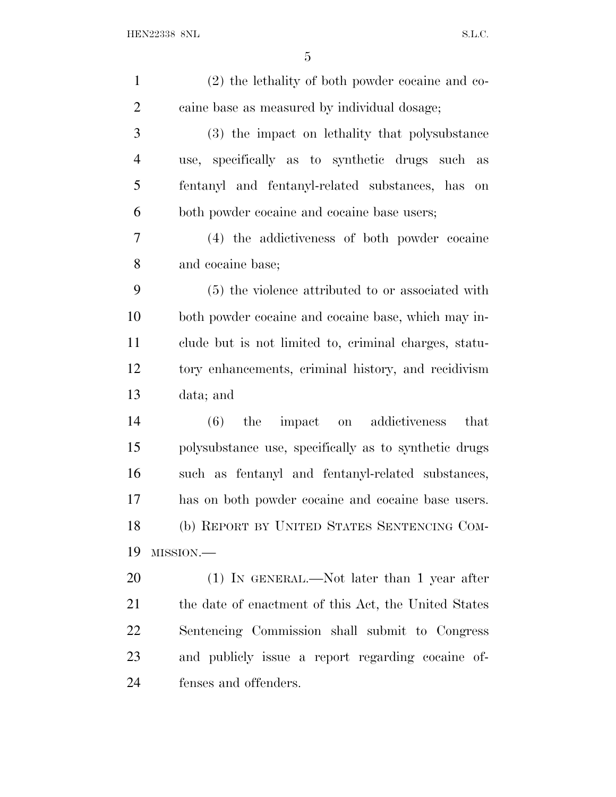| $\mathbf{1}$   | (2) the lethality of both powder cocaine and co-              |
|----------------|---------------------------------------------------------------|
| $\overline{2}$ | caine base as measured by individual dosage;                  |
| 3              | (3) the impact on lethality that polysubstance                |
| $\overline{4}$ | use, specifically as to synthetic drugs such as               |
| 5              | fentanyl and fentanyl-related substances, has<br>$\,$ on $\,$ |
| 6              | both powder cocaine and cocaine base users;                   |
| 7              | (4) the addictiveness of both powder cocaine                  |
| 8              | and cocaine base;                                             |
| 9              | (5) the violence attributed to or associated with             |
| 10             | both powder cocaine and cocaine base, which may in-           |
| 11             | clude but is not limited to, criminal charges, statu-         |
| 12             | tory enhancements, criminal history, and recidivism           |
| 13             | data; and                                                     |
| 14             | (6)<br>impact on addictiveness<br>that<br>the                 |
| 15             | polysubstance use, specifically as to synthetic drugs         |
| 16             | such as fentanyl and fentanyl-related substances,             |
| 17             | has on both powder cocaine and cocaine base users.            |
| 18             | (b) REPORT BY UNITED STATES SENTENCING COM-                   |
| 19             | MISSION.-                                                     |
| 20             | $(1)$ IN GENERAL.—Not later than 1 year after                 |
| 21             | the date of enactment of this Act, the United States          |
| 22             | Sentencing Commission shall submit to Congress                |
| 23             | and publicly issue a report regarding cocaine of-             |
| 24             | fenses and offenders.                                         |
|                |                                                               |